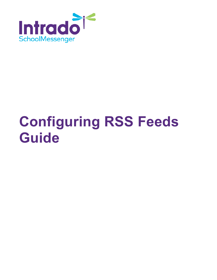

# **Configuring RSS Feeds Guide**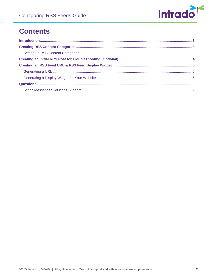

# **Contents**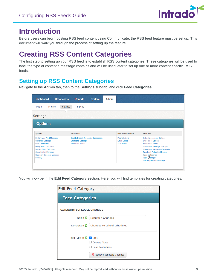

## <span id="page-2-0"></span>**Introduction**

Before users can begin posting RSS feed content using Communicate, the RSS feed feature must be set up. This document will walk you through the process of setting up the feature.

# <span id="page-2-1"></span>**Creating RSS Content Categories**

The first step to setting up your RSS feed is to establish RSS content categories. These categories will be used to label the type of content a message contains and will be used later to set up one or more content specific RSS feeds.

### <span id="page-2-2"></span>**Setting up RSS Content Categories**

Navigate to the **Admin** tab, then to the **Settings** sub-tab, and click **Feed Categories**.

| <b>Dashboard</b><br><b>Broadcasts</b>                                                                                                                                                                                                        | <b>Reports</b>                                                                                    | <b>System</b><br><b>Admin</b> |                                                                 |                                                                                                                                                                                                                                                                                |
|----------------------------------------------------------------------------------------------------------------------------------------------------------------------------------------------------------------------------------------------|---------------------------------------------------------------------------------------------------|-------------------------------|-----------------------------------------------------------------|--------------------------------------------------------------------------------------------------------------------------------------------------------------------------------------------------------------------------------------------------------------------------------|
| Settings<br>Profiles<br><b>Imports</b><br><b>Users</b><br><b>Settings</b><br><b>Options</b>                                                                                                                                                  |                                                                                                   |                               |                                                                 |                                                                                                                                                                                                                                                                                |
| <b>System</b>                                                                                                                                                                                                                                | <b>Broadcast</b>                                                                                  |                               | <b>Destination Labels</b>                                       | <b>Features</b>                                                                                                                                                                                                                                                                |
| <b>Systemwide Alert Message</b><br><b>Customer Settings</b><br><b>Field Definitions</b><br><b>Group Field Definitions</b><br><b>Section Field Definitions</b><br><b>Organization Manager</b><br><b>Guardian Category Manager</b><br>Security | <b>Enable/Disable Repeating Broadcasts</b><br><b>Broadcast Settings</b><br><b>Broadcast Types</b> |                               | <b>Phone Labels</b><br><b>Email Labels</b><br><b>SMS Labels</b> | <b>SchoolMessenger Settings</b><br><b>Subscriber Settings</b><br><b>Subscriber Fields</b><br>Classroom Message Manager<br><b>Classroom Messaging Template</b><br><b>Facebook Authorized Pages</b><br>Feed <sub>r</sub> Categories<br>Topi& Janager<br>QuickTip Feature Manager |

You will now be in the **Edit Feed Category** section. Here, you will find templates for creating categories.

| <b>Edit Feed Category</b>         |                                                                                        |  |  |  |  |
|-----------------------------------|----------------------------------------------------------------------------------------|--|--|--|--|
|                                   | <b>Feed Categories</b>                                                                 |  |  |  |  |
| <b>CATEGORY: SCHEDULE CHANGES</b> |                                                                                        |  |  |  |  |
| Name $\odot$                      | Schedule Changes                                                                       |  |  |  |  |
| Description <b>O</b>              | Changes to school schedules                                                            |  |  |  |  |
| Feed Type(s) $\bigcirc$ V RSS     | <b>Desktop Alerts</b><br><b>Push Notifications</b><br><b>X</b> Remove Schedule Changes |  |  |  |  |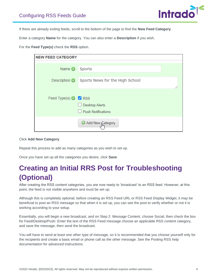

If there are already exiting feeds, scroll to the bottom of the page to find the **New Feed Category**.

Enter a category **Name** for the category. You can also enter a **Description** if you wish.

For the **Feed Type(s)** check the **RSS** option.

| <b>NEW FEED CATEGORY</b>             |                                                                         |
|--------------------------------------|-------------------------------------------------------------------------|
| Name <b>O</b>                        | Sports                                                                  |
| Description <b>O</b>                 | Sports News for the High School                                         |
| Feed Type(s) $\bigcirc$ <b>Z</b> RSS | <b>Desktop Alerts</b><br>U<br><b>Push Notifications</b><br>$\mathbf{I}$ |
|                                      | Add New Category                                                        |

Click **Add New Category**.

Repeat this process to add as many categories as you wish to set up.

Once you have set up all the categories you desire, click **Save**.

# <span id="page-3-0"></span>**Creating an Initial RRS Post for Troubleshooting (Optional)**

After creating the RSS content categories, you are now ready to 'broadcast' to an RSS feed. However, at this point, the feed is not visible anywhere and must be set up.

Although this is completely optional, before creating an RSS Feed URL or RSS Feed Display Widget, it may be beneficial to post an RSS message so that when it is set up, you can see the post to verify whether or not it is working according to your setup.

Essentially, you will begin a new broadcast, and on Step 2: Message Content, choose Social, then check the box for Feed/Desktop/Push. Enter the text of the RSS Feed message choose an applicable RSS content category, and save the message, then send the broadcast.

You will have to send at least one other type of message, so it is recommended that you choose yourself only for the recipients and create a basic email or phone call as the other message. See the Posting RSS help documentation for advanced instructions.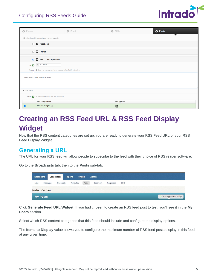

| <b>O</b> Phone | $\circ$<br>Email                                                                               |  | <b>O</b> SMS            | <b>O</b> Posts |  |
|----------------|------------------------------------------------------------------------------------------------|--|-------------------------|----------------|--|
|                | Select the social message type(s) you want to post to                                          |  |                         |                |  |
|                | <b>Facebook</b>                                                                                |  |                         |                |  |
|                | $\Box$ $\Box$ Twitter                                                                          |  |                         |                |  |
|                | S Feed / Desktop / Push                                                                        |  |                         |                |  |
| Title $\sim$   | <b>IC</b> Test RSS Feed                                                                        |  |                         |                |  |
|                | Message <sup>@</sup> Enter your message text below and select all applicable categories.       |  |                         |                |  |
|                | This is an RSS Test. Please disregard.                                                         |  |                         |                |  |
|                |                                                                                                |  |                         |                |  |
| Spell Check    |                                                                                                |  |                         |                |  |
|                | Post to $\blacktriangleright$ $\blacktriangleright$ Select channel(s) to post your message to. |  |                         |                |  |
|                | <b>Feed Category Name</b>                                                                      |  | Feed Types <sup>®</sup> |                |  |
| Z              | Schedule Changes                                                                               |  | $\blacksquare$          |                |  |

# <span id="page-4-0"></span>**Creating an RSS Feed URL & RSS Feed Display Widget**

Now that the RSS content categories are set up, you are ready to generate your RSS Feed URL or your RSS Feed Display Widget.

#### <span id="page-4-1"></span>**Generating a URL**

The URL for your RSS feed will allow people to subscribe to the feed with their choice of RSS reader software.

Go to the **Broadcasts** tab, then to the **Posts** sub-tab.

| <b>Dashboard</b> |                       | <b>Broadcasts</b> | <b>Reports</b> | <b>System</b> | <b>Admin</b> |           |     |  |                          |
|------------------|-----------------------|-------------------|----------------|---------------|--------------|-----------|-----|--|--------------------------|
| Lists            | Messages              | <b>Broadcasts</b> | Templates      | Posts         | Classroom    | Responses | SDD |  |                          |
|                  | <b>Posted Content</b> |                   |                |               |              |           |     |  |                          |
| <b>My Posts</b>  |                       |                   |                |               |              |           |     |  | Generate Feed URL/Widget |

Click **Generate Feed URL/Widget**. If you had chosen to create an RSS feed post to test, you'll see it in the **My Posts** section.

Select which RSS content categories that this feed should include and configure the display options.

The **Items to Display** value allows you to configure the maximum number of RSS feed posts display in this feed at any given time.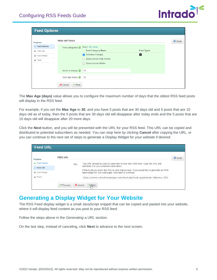

| <b>Feed Options</b>                                   |                                                          |                                                                                                                                 |                        |                |
|-------------------------------------------------------|----------------------------------------------------------|---------------------------------------------------------------------------------------------------------------------------------|------------------------|----------------|
| <b>Progress</b><br><b>P</b> Feed Options              | <b>FEED SETTINGS</b>                                     |                                                                                                                                 |                        | <b>O</b> Guide |
| <b>E</b> Feed URL<br>Feed Widget<br>$\bigcirc$ Finish | Feed categories @                                        | Select: All   None<br><b>Feed Category Name</b><br>Schedule Changes<br>Sports Lincoln High School<br>n<br>Sports Lincoln Middle | <b>Feed Types</b><br>Ы |                |
|                                                       | Items to display $\bigcirc$                              | 25                                                                                                                              |                        |                |
|                                                       | Max age (days) $\odot$<br>X Cancel<br>$\Rightarrow$ Next | 30                                                                                                                              |                        |                |

The **Max Age (days)** value allows you to configure the maximum number of days that the oldest RSS feed posts will display in the RSS feed.

For example, if you set the **Max Age** to **30**, and you have 5 posts that are 30 days old and 5 posts that are 10 days old as of today, then the 5 posts that are 30 days old will disappear after today ends and the 5 posts that are 10 days old will disappear after 20 more days.

Click the **Next** button, and you will be presented with the URL for your RSS feed. This URL can be copied and distributed to potential subscribers as needed. You can stop here by clicking **Cancel** after copying the URL, or you can continue to the next set of steps to generate a Display Widget for your website if desired.

| <b>Feed URL</b>         |                       |                                                                                                                                                        |                |
|-------------------------|-----------------------|--------------------------------------------------------------------------------------------------------------------------------------------------------|----------------|
| <b>Progress</b>         | <b>FEED URL</b>       |                                                                                                                                                        | <b>C</b> Guide |
| <b>⊌</b> Feed Options   | URI                   | This URL should be used to subscribe to your new RSS feed. Copy the URL and                                                                            |                |
| <b>D</b> Feed URL       |                       | distribute it to your potential subscribers.                                                                                                           |                |
| <b>Feed Widget</b><br>⊜ |                       | If this is all you need, feel free to click Cancel now. If you would like to generate an RSS<br>feed widget for your web page, click Next to continue. |                |
| Finish                  |                       | http://comm.schoolmessenger.com/feed.php?cust=joplin&cat=1&items=25&                                                                                   |                |
|                         | $\leftarrow$ Previous | X Cancel<br>$\Rightarrow$ Next                                                                                                                         |                |

#### <span id="page-5-0"></span>**Generating a Display Widget for Your Website**

The RSS Feed display widget is a small JavaScript snippet that can be copied and pasted into your website, where it will display feed content as you post to your RSS feed.

Follow the steps above in the *Generating a URL* section.

On the last step, instead of canceling, click **Next** to advance to the next screen.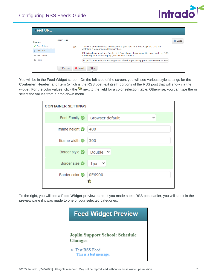

| <b>Feed URL</b>                            |          |                                                                                                                                                        |                |  |
|--------------------------------------------|----------|--------------------------------------------------------------------------------------------------------------------------------------------------------|----------------|--|
| <b>Progress</b>                            | FFFD URL |                                                                                                                                                        | <b>O</b> Guide |  |
| <b>Feed Options</b>                        |          | This URL should be used to subscribe to your new RSS feed. Copy the URL and<br>URL<br>distribute it to your potential subscribers.                     |                |  |
| <b>Eeed URL</b><br><b>Feed Widget</b><br>⊜ |          | If this is all you need, feel free to click Cancel now. If you would like to generate an RSS<br>feed widget for your web page, click Next to continue. |                |  |
| Finish<br>⊜<br>---------------------       |          | http://comm.schoolmessenger.com/feed.php?cust=joplin&cat=1&items=25&                                                                                   |                |  |
| X Cancel<br>$\leftarrow$ Previous<br>⇒Next |          |                                                                                                                                                        |                |  |

You will be in the Feed Widget screen. On the left side of the screen, you will see various style settings for the **Container**, **Header**, and **Item** (which is the RSS post text itself) portions of the RSS post that will show via the widget. For the color values, click the **@** next to the field for a color selection table. Otherwise, you can type the or select the values from a drop-down menu.

| <b>CONTAINER SETTINGS</b> |                                           |  |  |  |
|---------------------------|-------------------------------------------|--|--|--|
|                           | Font Family <b>O</b> Browser default<br>v |  |  |  |
| Iframe height ©           | 480                                       |  |  |  |
| Iframe width @            | 300                                       |  |  |  |
| Border style $\bigcirc$   | Double $\vee$                             |  |  |  |
| Border size               | $1px \sim$                                |  |  |  |
| Border color              | 0E6900                                    |  |  |  |

To the right, you will see a **Feed Widget** preview pane. If you made a test RSS post earlier, you will see it in the preview pane if it was made to one of your selected categories.

| <b>Feed Widget Preview</b>                        |  |  |  |  |
|---------------------------------------------------|--|--|--|--|
|                                                   |  |  |  |  |
| <b>Joplin Support School: Schedule</b><br>Changes |  |  |  |  |
| <b>Test RSS Feed</b><br>This is a test message.   |  |  |  |  |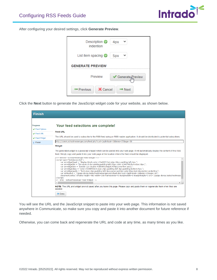

After configuring your desired settings, click **Generate Preview**.

| Description <b>O</b><br>indention          | 4px                |  |  |  |
|--------------------------------------------|--------------------|--|--|--|
| List item spacing $\odot$                  | 5px                |  |  |  |
| <b>GENERATE PREVIEW</b>                    |                    |  |  |  |
| Preview<br>✔ Generate <sub>n</sub> Preview |                    |  |  |  |
| X Cancel<br>← Previous                     | $\Rightarrow$ Next |  |  |  |

Click the **Next** button to generate the JavaScript widget code for your website, as shown below.

| <b>Finish</b>                                                                       |                                                                                                                                                                                                                                                                                                                                                   |
|-------------------------------------------------------------------------------------|---------------------------------------------------------------------------------------------------------------------------------------------------------------------------------------------------------------------------------------------------------------------------------------------------------------------------------------------------|
| <b>Progress</b><br><b>√</b> Feed Options<br>$\vee$ Feed URL<br><b>√</b> Feed Widget | Your feed selections are complete!<br><b>Feed URL</b><br>The URL should be used to subscribe to the RSS feed using an RSS reader application. It should be distributed to potential subscribers.                                                                                                                                                  |
| $\triangleright$ Finish                                                             | http://comm.schoolmessenger.com/feed.php?cust=joplin&cat=1&items=25&age=30                                                                                                                                                                                                                                                                        |
|                                                                                     | Widget<br>The generated widget is a javascript snippet which can be pasted into your web page. It will automatically display the content of this RSS<br>feed. Simply copy and paste it into your web page at the location where the feed should be displayed.<br>BEGIN - SCHOOFFIESSENGEL FEEG WIGGEL<br><script type="text/javascript"></script> |

You will see the URL and the JavaScript snippet to paste into your web page. This information is not saved anywhere in Communicate, so make sure you copy and paste it into another document for future reference if needed.

Otherwise, you can come back and regenerate the URL and code at any time, as many times as you like.